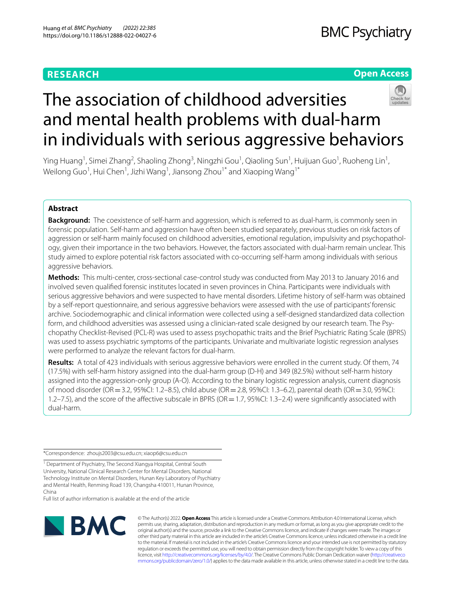# **RESEARCH**

# **Open Access**



# The association of childhood adversities and mental health problems with dual-harm in individuals with serious aggressive behaviors

Ying Huang<sup>1</sup>, Simei Zhang<sup>2</sup>, Shaoling Zhong<sup>3</sup>, Ningzhi Gou<sup>1</sup>, Qiaoling Sun<sup>1</sup>, Huijuan Guo<sup>1</sup>, Ruoheng Lin<sup>1</sup>, Weilong Guo $^1$ , Hui Chen $^1$ , Jizhi Wang $^1$ , Jiansong Zhou $^{1^\ast}$  and Xiaoping Wang $^{1^\ast}$ 

## **Abstract**

**Background:** The coexistence of self-harm and aggression, which is referred to as dual-harm, is commonly seen in forensic population. Self-harm and aggression have often been studied separately, previous studies on risk factors of aggression or self-harm mainly focused on childhood adversities, emotional regulation, impulsivity and psychopathology, given their importance in the two behaviors. However, the factors associated with dual-harm remain unclear. This study aimed to explore potential risk factors associated with co-occurring self-harm among individuals with serious aggressive behaviors.

**Methods:** This multi-center, cross-sectional case-control study was conducted from May 2013 to January 2016 and involved seven qualifed forensic institutes located in seven provinces in China. Participants were individuals with serious aggressive behaviors and were suspected to have mental disorders. Lifetime history of self-harm was obtained by a self-report questionnaire, and serious aggressive behaviors were assessed with the use of participants' forensic archive. Sociodemographic and clinical information were collected using a self-designed standardized data collection form, and childhood adversities was assessed using a clinician-rated scale designed by our research team. The Psychopathy Checklist-Revised (PCL-R) was used to assess psychopathic traits and the Brief Psychiatric Rating Scale (BPRS) was used to assess psychiatric symptoms of the participants. Univariate and multivariate logistic regression analyses were performed to analyze the relevant factors for dual-harm.

**Results:** A total of 423 individuals with serious aggressive behaviors were enrolled in the current study. Of them, 74 (17.5%) with self-harm history assigned into the dual-harm group (D-H) and 349 (82.5%) without self-harm history assigned into the aggression-only group (A-O). According to the binary logistic regression analysis, current diagnosis of mood disorder (OR=3.2, 95%CI: 1.2–8.5), child abuse (OR=2.8, 95%CI: 1.3–6.2), parental death (OR=3.0, 95%CI: 1.2–7.5), and the score of the affective subscale in BPRS (OR = 1.7, 95%CI: 1.3–2.4) were significantly associated with dual-harm.

\*Correspondence: zhoujs2003@csu.edu.cn; xiaop6@csu.edu.cn

<sup>1</sup> Department of Psychiatry, The Second Xiangya Hospital, Central South University, National Clinical Research Center for Mental Disorders, National Technology Institute on Mental Disorders, Hunan Key Laboratory of Psychiatry and Mental Health, Renming Road 139, Changsha 410011, Hunan Province, China

Full list of author information is available at the end of the article



© The Author(s) 2022. **Open Access** This article is licensed under a Creative Commons Attribution 4.0 International License, which permits use, sharing, adaptation, distribution and reproduction in any medium or format, as long as you give appropriate credit to the original author(s) and the source, provide a link to the Creative Commons licence, and indicate if changes were made. The images or other third party material in this article are included in the article's Creative Commons licence, unless indicated otherwise in a credit line to the material. If material is not included in the article's Creative Commons licence and your intended use is not permitted by statutory regulation or exceeds the permitted use, you will need to obtain permission directly from the copyright holder. To view a copy of this licence, visit [http://creativecommons.org/licenses/by/4.0/.](http://creativecommons.org/licenses/by/4.0/) The Creative Commons Public Domain Dedication waiver ([http://creativeco](http://creativecommons.org/publicdomain/zero/1.0/) [mmons.org/publicdomain/zero/1.0/](http://creativecommons.org/publicdomain/zero/1.0/)) applies to the data made available in this article, unless otherwise stated in a credit line to the data.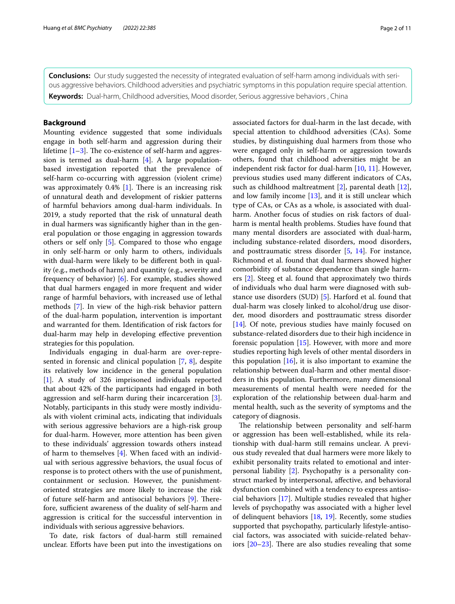**Conclusions:** Our study suggested the necessity of integrated evaluation of self-harm among individuals with serious aggressive behaviors. Childhood adversities and psychiatric symptoms in this population require special attention. **Keywords:** Dual-harm, Childhood adversities, Mood disorder, Serious aggressive behaviors , China

## **Background**

Mounting evidence suggested that some individuals engage in both self-harm and aggression during their lifetime  $[1-3]$  $[1-3]$ . The co-existence of self-harm and aggression is termed as dual-harm [[4\]](#page-9-2). A large populationbased investigation reported that the prevalence of self-harm co-occurring with aggression (violent crime) was approximately  $0.4\%$  [[1\]](#page-9-0). There is an increasing risk of unnatural death and development of riskier patterns of harmful behaviors among dual-harm individuals. In 2019, a study reported that the risk of unnatural death in dual harmers was signifcantly higher than in the general population or those engaging in aggression towards others or self only [\[5](#page-9-3)]. Compared to those who engage in only self-harm or only harm to others, individuals with dual-harm were likely to be diferent both in quality (e.g., methods of harm) and quantity (e.g., severity and frequency of behavior) [\[6](#page-9-4)]. For example, studies showed that dual harmers engaged in more frequent and wider range of harmful behaviors, with increased use of lethal methods [[7\]](#page-9-5). In view of the high-risk behavior pattern of the dual-harm population, intervention is important and warranted for them. Identifcation of risk factors for dual-harm may help in developing efective prevention strategies for this population.

Individuals engaging in dual-harm are over-represented in forensic and clinical population [[7,](#page-9-5) [8\]](#page-9-6), despite its relatively low incidence in the general population [[1\]](#page-9-0). A study of 326 imprisoned individuals reported that about 42% of the participants had engaged in both aggression and self-harm during their incarceration [\[3](#page-9-1)]. Notably, participants in this study were mostly individuals with violent criminal acts, indicating that individuals with serious aggressive behaviors are a high-risk group for dual-harm. However, more attention has been given to these individuals' aggression towards others instead of harm to themselves [\[4](#page-9-2)]. When faced with an individual with serious aggressive behaviors, the usual focus of response is to protect others with the use of punishment, containment or seclusion. However, the punishmentoriented strategies are more likely to increase the risk of future self-harm and antisocial behaviors [\[9](#page-9-7)]. Therefore, sufficient awareness of the duality of self-harm and aggression is critical for the successful intervention in individuals with serious aggressive behaviors.

To date, risk factors of dual-harm still remained unclear. Eforts have been put into the investigations on associated factors for dual-harm in the last decade, with special attention to childhood adversities (CAs). Some studies, by distinguishing dual harmers from those who were engaged only in self-harm or aggression towards others, found that childhood adversities might be an independent risk factor for dual-harm [\[10](#page-9-8), [11\]](#page-9-9). However, previous studies used many diferent indicators of CAs, such as childhood maltreatment [\[2](#page-9-10)], parental death [\[12](#page-9-11)], and low family income [\[13](#page-9-12)], and it is still unclear which type of CAs, or CAs as a whole, is associated with dual-

harm. Another focus of studies on risk factors of dualharm is mental health problems. Studies have found that many mental disorders are associated with dual-harm, including substance-related disorders, mood disorders, and posttraumatic stress disorder [[5,](#page-9-3) [14\]](#page-9-13). For instance, Richmond et al. found that dual harmers showed higher comorbidity of substance dependence than single harmers [\[2](#page-9-10)]. Steeg et al. found that approximately two thirds of individuals who dual harm were diagnosed with substance use disorders (SUD) [\[5](#page-9-3)]. Harford et al. found that dual-harm was closely linked to alcohol/drug use disorder, mood disorders and posttraumatic stress disorder [[14\]](#page-9-13)*.* Of note, previous studies have mainly focused on substance-related disorders due to their high incidence in forensic population [[15\]](#page-9-14). However, with more and more studies reporting high levels of other mental disorders in this population  $[16]$  $[16]$ , it is also important to examine the relationship between dual-harm and other mental disorders in this population. Furthermore, many dimensional measurements of mental health were needed for the exploration of the relationship between dual-harm and mental health, such as the severity of symptoms and the category of diagnosis.

The relationship between personality and self-harm or aggression has been well-established, while its relationship with dual-harm still remains unclear. A previous study revealed that dual harmers were more likely to exhibit personality traits related to emotional and interpersonal liability [\[2](#page-9-10)]. Psychopathy is a personality construct marked by interpersonal, afective, and behavioral dysfunction combined with a tendency to express antisocial behaviors [[17](#page-9-16)]. Multiple studies revealed that higher levels of psychopathy was associated with a higher level of delinquent behaviors [[18,](#page-9-17) [19](#page-9-18)]. Recently, some studies supported that psychopathy, particularly lifestyle-antisocial factors, was associated with suicide-related behaviors  $[20-23]$  $[20-23]$  $[20-23]$ . There are also studies revealing that some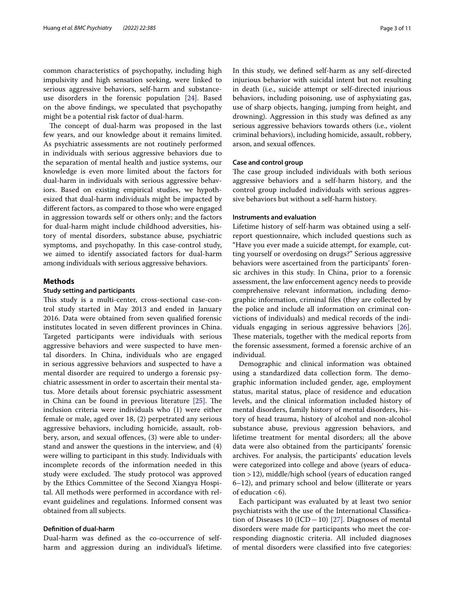common characteristics of psychopathy, including high impulsivity and high sensation seeking, were linked to serious aggressive behaviors, self-harm and substanceuse disorders in the forensic population [\[24\]](#page-9-21). Based on the above fndings, we speculated that psychopathy might be a potential risk factor of dual-harm.

The concept of dual-harm was proposed in the last few years, and our knowledge about it remains limited. As psychiatric assessments are not routinely performed in individuals with serious aggressive behaviors due to the separation of mental health and justice systems, our knowledge is even more limited about the factors for dual-harm in individuals with serious aggressive behaviors. Based on existing empirical studies, we hypothesized that dual-harm individuals might be impacted by diferent factors, as compared to those who were engaged in aggression towards self or others only; and the factors for dual-harm might include childhood adversities, history of mental disorders, substance abuse, psychiatric symptoms, and psychopathy. In this case-control study, we aimed to identify associated factors for dual-harm among individuals with serious aggressive behaviors.

### **Methods**

## **Study setting and participants**

This study is a multi-center, cross-sectional case-control study started in May 2013 and ended in January 2016. Data were obtained from seven qualifed forensic institutes located in seven diferent provinces in China. Targeted participants were individuals with serious aggressive behaviors and were suspected to have mental disorders. In China, individuals who are engaged in serious aggressive behaviors and suspected to have a mental disorder are required to undergo a forensic psychiatric assessment in order to ascertain their mental status. More details about forensic psychiatric assessment in China can be found in previous literature  $[25]$  $[25]$  $[25]$ . The inclusion criteria were individuals who (1) were either female or male, aged over 18, (2) perpetrated any serious aggressive behaviors, including homicide, assault, robbery, arson, and sexual offences, (3) were able to understand and answer the questions in the interview, and (4) were willing to participant in this study. Individuals with incomplete records of the information needed in this study were excluded. The study protocol was approved by the Ethics Committee of the Second Xiangya Hospital. All methods were performed in accordance with relevant guidelines and regulations. Informed consent was obtained from all subjects.

## **Defnition of dual‑harm**

Dual-harm was defned as the co-occurrence of selfharm and aggression during an individual's lifetime. In this study, we defned self-harm as any self-directed injurious behavior with suicidal intent but not resulting in death (i.e., suicide attempt or self-directed injurious behaviors, including poisoning, use of asphyxiating gas, use of sharp objects, hanging, jumping from height, and drowning). Aggression in this study was defned as any serious aggressive behaviors towards others (i.e., violent criminal behaviors), including homicide, assault, robbery, arson, and sexual ofences.

## **Case and control group**

The case group included individuals with both serious aggressive behaviors and a self-harm history, and the control group included individuals with serious aggressive behaviors but without a self-harm history.

## **Instruments and evaluation**

Lifetime history of self-harm was obtained using a selfreport questionnaire, which included questions such as "Have you ever made a suicide attempt, for example, cutting yourself or overdosing on drugs?" Serious aggressive behaviors were ascertained from the participants' forensic archives in this study. In China, prior to a forensic assessment, the law enforcement agency needs to provide comprehensive relevant information, including demographic information, criminal fles (they are collected by the police and include all information on criminal convictions of individuals) and medical records of the individuals engaging in serious aggressive behaviors [\[26](#page-9-23)]. These materials, together with the medical reports from the forensic assessment, formed a forensic archive of an individual.

Demographic and clinical information was obtained using a standardized data collection form. The demographic information included gender, age, employment status, marital status, place of residence and education levels, and the clinical information included history of mental disorders, family history of mental disorders, history of head trauma, history of alcohol and non-alcohol substance abuse, previous aggression behaviors, and lifetime treatment for mental disorders; all the above data were also obtained from the participants' forensic archives. For analysis, the participants' education levels were categorized into college and above (years of education >12), middle/high school (years of education ranged 6–12), and primary school and below (illiterate or years of education  $<6$ ).

Each participant was evaluated by at least two senior psychiatrists with the use of the International Classifcation of Diseases 10 (ICD−10) [[27\]](#page-10-0). Diagnoses of mental disorders were made for participants who meet the corresponding diagnostic criteria. All included diagnoses of mental disorders were classifed into fve categories: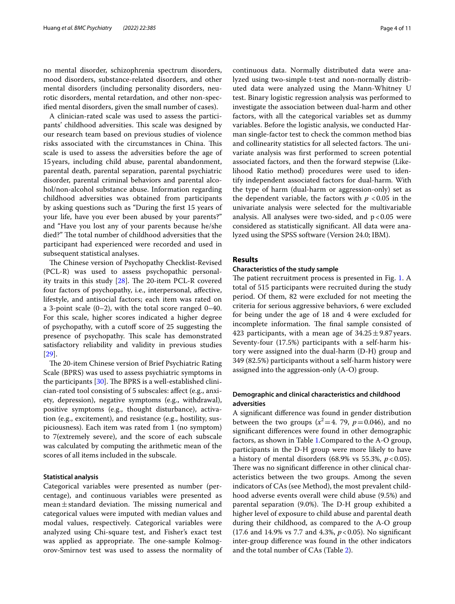no mental disorder, schizophrenia spectrum disorders, mood disorders, substance-related disorders, and other mental disorders (including personality disorders, neurotic disorders, mental retardation, and other non-specifed mental disorders, given the small number of cases).

A clinician-rated scale was used to assess the participants' childhood adversities. This scale was designed by our research team based on previous studies of violence risks associated with the circumstances in China. This scale is used to assess the adversities before the age of 15years, including child abuse, parental abandonment, parental death, parental separation, parental psychiatric disorder, parental criminal behaviors and parental alcohol/non-alcohol substance abuse. Information regarding childhood adversities was obtained from participants by asking questions such as "During the frst 15 years of your life, have you ever been abused by your parents?" and "Have you lost any of your parents because he/she died?" The total number of childhood adversities that the participant had experienced were recorded and used in subsequent statistical analyses.

The Chinese version of Psychopathy Checklist-Revised (PCL-R) was used to assess psychopathic personality traits in this study  $[28]$ . The 20-item PCL-R covered four factors of psychopathy, i.e., interpersonal, afective, lifestyle, and antisocial factors; each item was rated on a 3-point scale (0–2), with the total score ranged 0–40. For this scale, higher scores indicated a higher degree of psychopathy, with a cutof score of 25 suggesting the presence of psychopathy. This scale has demonstrated satisfactory reliability and validity in previous studies [[29\]](#page-10-2).

The 20-item Chinese version of Brief Psychiatric Rating Scale (BPRS) was used to assess psychiatric symptoms in the participants  $[30]$  $[30]$ . The BPRS is a well-established clinician-rated tool consisting of 5 subscales: afect (e.g., anxiety, depression), negative symptoms (e.g., withdrawal), positive symptoms (e.g., thought disturbance), activation (e.g., excitement), and resistance (e.g., hostility, suspiciousness). Each item was rated from 1 (no symptom) to 7(extremely severe), and the score of each subscale was calculated by computing the arithmetic mean of the scores of all items included in the subscale.

## **Statistical analysis**

Categorical variables were presented as number (percentage), and continuous variables were presented as mean $\pm$ standard deviation. The missing numerical and categorical values were imputed with median values and modal values, respectively. Categorical variables were analyzed using Chi-square test, and Fisher's exact test was applied as appropriate. The one-sample Kolmogorov-Smirnov test was used to assess the normality of continuous data. Normally distributed data were analyzed using two-simple t-test and non-normally distributed data were analyzed using the Mann-Whitney U test. Binary logistic regression analysis was performed to investigate the association between dual-harm and other factors, with all the categorical variables set as dummy variables. Before the logistic analysis, we conducted Harman single-factor test to check the common method bias and collinearity statistics for all selected factors. The univariate analysis was frst performed to screen potential associated factors, and then the forward stepwise (Likelihood Ratio method) procedures were used to identify independent associated factors for dual-harm. With the type of harm (dual-harm or aggression-only) set as the dependent variable, the factors with  $p < 0.05$  in the univariate analysis were selected for the multivariable analysis. All analyses were two-sided, and  $p < 0.05$  were considered as statistically signifcant. All data were analyzed using the SPSS software (Version 24.0; IBM).

## **Results**

## **Characteristics of the study sample**

The patient recruitment process is presented in Fig. [1](#page-4-0). A total of 515 participants were recruited during the study period. Of them, 82 were excluded for not meeting the criteria for serious aggressive behaviors, 6 were excluded for being under the age of 18 and 4 were excluded for incomplete information. The final sample consisted of 423 participants, with a mean age of  $34.25 \pm 9.87$  years. Seventy-four (17.5%) participants with a self-harm history were assigned into the dual-harm (D-H) group and 349 (82.5%) participants without a self-harm history were assigned into the aggression-only (A-O) group.

## **Demographic and clinical characteristics and childhood adversities**

A signifcant diference was found in gender distribution between the two groups  $(x^2=4, 79, p=0.046)$ , and no signifcant diferences were found in other demographic factors, as shown in Table [1](#page-4-1).Compared to the A-O group, participants in the D-H group were more likely to have a history of mental disorders (68.9% vs 55.3%, *p*<0.05). There was no significant difference in other clinical characteristics between the two groups. Among the seven indicators of CAs (see Method), the most prevalent childhood adverse events overall were child abuse (9.5%) and parental separation (9.0%). The D-H group exhibited a higher level of exposure to child abuse and parental death during their childhood, as compared to the A-O group (17.6 and 14.9% vs 7.7 and 4.3%, *p*<0.05). No signifcant inter-group diference was found in the other indicators and the total number of CAs (Table [2\)](#page-5-0).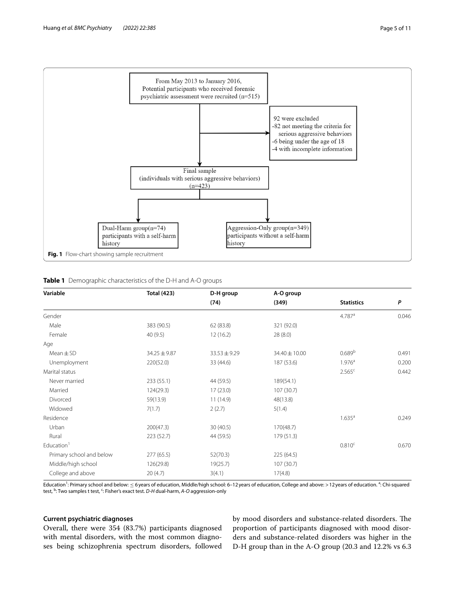

## <span id="page-4-1"></span><span id="page-4-0"></span>**Table 1** Demographic characteristics of the D-H and A-O groups

| Variable                 | <b>Total (423)</b> | D-H group        | A-O group     |                      |       |
|--------------------------|--------------------|------------------|---------------|----------------------|-------|
|                          |                    | (74)             | (349)         | <b>Statistics</b>    | P     |
| Gender                   |                    |                  |               | $4.787$ <sup>a</sup> | 0.046 |
| Male                     | 383 (90.5)         | 62 (83.8)        | 321 (92.0)    |                      |       |
| Female                   | 40(9.5)            | 12(16.2)         | 28(8.0)       |                      |       |
| Age                      |                    |                  |               |                      |       |
| $Mean \pm SD$            | 34.25 ± 9.87       | $33.53 \pm 9.29$ | 34.40 ± 10.00 | 0.689 <sup>b</sup>   | 0.491 |
| Unemployment             | 220(52.0)          | 33 (44.6)        | 187 (53.6)    | $1.976^{\circ}$      | 0.200 |
| Marital status           |                    |                  |               | 2.565 <sup>c</sup>   | 0.442 |
| Never married            | 233 (55.1)         | 44 (59.5)        | 189(54.1)     |                      |       |
| Married                  | 124(29.3)          | 17(23.0)         | 107 (30.7)    |                      |       |
| Divorced                 | 59(13.9)           | 11(14.9)         | 48(13.8)      |                      |       |
| Widowed                  | 7(1.7)             | 2(2.7)           | 5(1.4)        |                      |       |
| Residence                |                    |                  |               | $1.635^{\circ}$      | 0.249 |
| Urban                    | 200(47.3)          | 30(40.5)         | 170(48.7)     |                      |       |
| Rural                    | 223(52.7)          | 44 (59.5)        | 179 (51.3)    |                      |       |
| Education <sup>1</sup>   |                    |                  |               | 0.810 <sup>c</sup>   | 0.670 |
| Primary school and below | 277(65.5)          | 52(70.3)         | 225 (64.5)    |                      |       |
| Middle/high school       | 126(29.8)          | 19(25.7)         | 107(30.7)     |                      |       |
| College and above        | 20(4.7)            | 3(4.1)           | 17(4.8)       |                      |       |

Education<sup>1</sup>: Primary school and below: ≤ 6 years of education, Middle/high school: 6–12 years of education, College and above: > 12 years of education. <sup>a</sup>: Chi-squared test, <sup>b</sup>: Two samples t test, <sup>c</sup>: Fisher's exact test. *D-H* dual-harm, *A-O* aggression-only

### **Current psychiatric diagnoses**

Overall, there were 354 (83.7%) participants diagnosed with mental disorders, with the most common diagnoses being schizophrenia spectrum disorders, followed

by mood disorders and substance-related disorders. The proportion of participants diagnosed with mood disorders and substance-related disorders was higher in the D-H group than in the A-O group (20.3 and 12.2% vs 6.3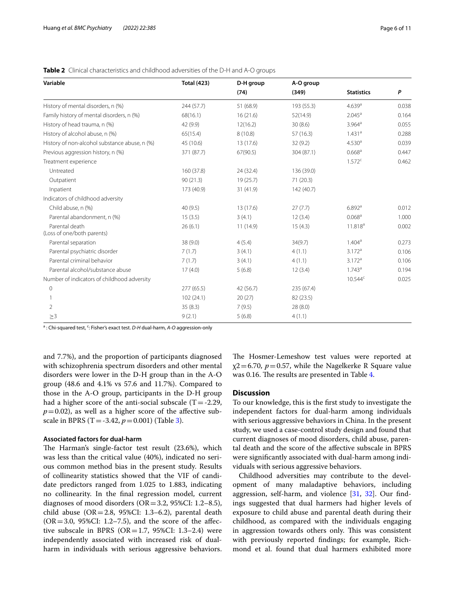| Variable                                      | <b>Total (423)</b> | D-H group | A-O group  |                      |       |
|-----------------------------------------------|--------------------|-----------|------------|----------------------|-------|
|                                               |                    | (74)      | (349)      | <b>Statistics</b>    | P     |
| History of mental disorders, n (%)            | 244 (57.7)         | 51 (68.9) | 193 (55.3) | $4.639$ <sup>a</sup> | 0.038 |
| Family history of mental disorders, n (%)     | 68(16.1)           | 16(21.6)  | 52(14.9)   | $2.045^{\circ}$      | 0.164 |
| History of head trauma, n (%)                 | 42 (9.9)           | 12(16.2)  | 30(8.6)    | $3.964$ <sup>a</sup> | 0.055 |
| History of alcohol abuse, n (%)               | 65(15.4)           | 8(10.8)   | 57(16.3)   | 1.431 <sup>a</sup>   | 0.288 |
| History of non-alcohol substance abuse, n (%) | 45 (10.6)          | 13 (17.6) | 32(9.2)    | 4.530 <sup>a</sup>   | 0.039 |
| Previous aggression history, n (%)            | 371 (87.7)         | 67(90.5)  | 304 (87.1) | 0.668 <sup>a</sup>   | 0.447 |
| Treatment experience                          |                    |           |            | 1.572c               | 0.462 |
| Untreated                                     | 160(37.8)          | 24 (32.4) | 136 (39.0) |                      |       |
| Outpatient                                    | 90(21.3)           | 19(25.7)  | 71(20.3)   |                      |       |
| Inpatient                                     | 173 (40.9)         | 31 (41.9) | 142 (40.7) |                      |       |
| Indicators of childhood adversity             |                    |           |            |                      |       |
| Child abuse, n (%)                            | 40(9.5)            | 13 (17.6) | 27(7.7)    | $6.892$ <sup>a</sup> | 0.012 |
| Parental abandonment, n (%)                   | 15(3.5)            | 3(4.1)    | 12(3.4)    | 0.068 <sup>a</sup>   | 1.000 |
| Parental death<br>(Loss of one/both parents)  | 26(6.1)            | 11 (14.9) | 15(4.3)    | 11.818 <sup>a</sup>  | 0.002 |
| Parental separation                           | 38 (9.0)           | 4(5.4)    | 34(9.7)    | $1.404^a$            | 0.273 |
| Parental psychiatric disorder                 | 7(1.7)             | 3(4.1)    | 4(1.1)     | 3.172 <sup>a</sup>   | 0.106 |
| Parental criminal behavior                    | 7(1.7)             | 3(4.1)    | 4(1.1)     | 3.172 <sup>a</sup>   | 0.106 |
| Parental alcohol/substance abuse              | 17(4.0)            | 5(6.8)    | 12(3.4)    | 1.743a               | 0.194 |
| Number of indicators of childhood adversity   |                    |           |            | $10.544^c$           | 0.025 |
| $\Omega$                                      | 277(65.5)          | 42 (56.7) | 235 (67.4) |                      |       |
|                                               | 102(24.1)          | 20(27)    | 82 (23.5)  |                      |       |
| $\overline{2}$                                | 35(8.3)            | 7(9.5)    | 28(8.0)    |                      |       |
| $\geq$ 3                                      | 9(2.1)             | 5(6.8)    | 4(1.1)     |                      |       |

<span id="page-5-0"></span>**Table 2** Clinical characteristics and childhood adversities of the D-H and A-O groups

a: Chi-squared test, <sup>c</sup>: Fisher's exact test. *D-H* dual-harm, *A-O* aggression-only

and 7.7%), and the proportion of participants diagnosed with schizophrenia spectrum disorders and other mental disorders were lower in the D-H group than in the A-O group (48.6 and 4.1% vs 57.6 and 11.7%). Compared to those in the A-O group, participants in the D-H group had a higher score of the anti-social subscale  $(T = -2.29)$ ,  $p=0.02$ ), as well as a higher score of the affective subscale in BPRS (T=-3.42, *p*=0.001) (Table [3\)](#page-6-0).

## **Associated factors for dual‑harm**

The Harman's single-factor test result (23.6%), which was less than the critical value (40%), indicated no serious common method bias in the present study. Results of collinearity statistics showed that the VIF of candidate predictors ranged from 1.025 to 1.883, indicating no collinearity. In the fnal regression model, current diagnoses of mood disorders (OR=3.2, 95%CI: 1.2–8.5), child abuse (OR=2.8, 95%CI: 1.3–6.2), parental death  $(OR = 3.0, 95\% CI: 1.2–7.5)$ , and the score of the affective subscale in BPRS ( $OR = 1.7$ , 95%CI: 1.3–2.4) were independently associated with increased risk of dualharm in individuals with serious aggressive behaviors. The Hosmer-Lemeshow test values were reported at  $\chi$ 2=6.70, *p*=0.57, while the Nagelkerke R Square value was 0.16. The results are presented in Table [4](#page-6-1).

## **Discussion**

To our knowledge, this is the frst study to investigate the independent factors for dual-harm among individuals with serious aggressive behaviors in China. In the present study, we used a case-control study design and found that current diagnoses of mood disorders, child abuse, parental death and the score of the afective subscale in BPRS were signifcantly associated with dual-harm among individuals with serious aggressive behaviors.

Childhood adversities may contribute to the development of many maladaptive behaviors, including aggression, self-harm, and violence [\[31](#page-10-4), [32\]](#page-10-5). Our fndings suggested that dual harmers had higher levels of exposure to child abuse and parental death during their childhood, as compared with the individuals engaging in aggression towards others only. This was consistent with previously reported fndings; for example, Richmond et al. found that dual harmers exhibited more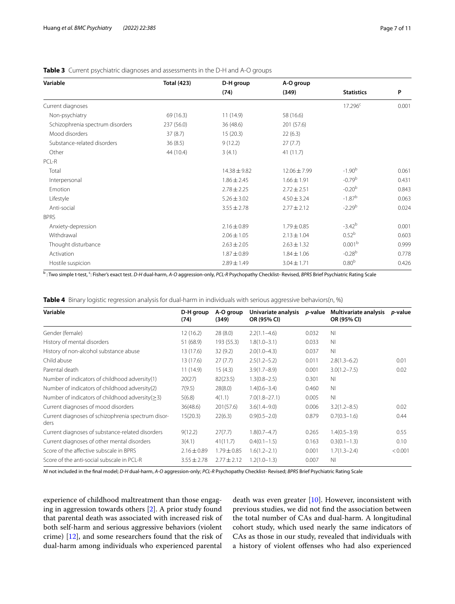| <b>Total (423)</b> | D-H group       | A-O group       |                    |       |
|--------------------|-----------------|-----------------|--------------------|-------|
|                    | (74)            | (349)           | <b>Statistics</b>  | P     |
|                    |                 |                 | $17.296^c$         | 0.001 |
| 69 (16.3)          | 11(14.9)        | 58 (16.6)       |                    |       |
| 237 (56.0)         | 36(48.6)        | 201 (57.6)      |                    |       |
| 37(8.7)            | 15(20.3)        | 22(6.3)         |                    |       |
| 36(8.5)            | 9(12.2)         | 27(7.7)         |                    |       |
| 44 (10.4)          | 3(4.1)          | 41(11.7)        |                    |       |
|                    |                 |                 |                    |       |
|                    | 14.38±9.82      | 12.06 ± 7.99    | $-1.90b$           | 0.061 |
|                    | $1.86 \pm 2.45$ | $1.66 \pm 1.91$ | $-0.79b$           | 0.431 |
|                    | $2.78 \pm 2.25$ | $2.72 \pm 2.51$ | $-0.20b$           | 0.843 |
|                    | $5.26 \pm 3.02$ | $4.50 \pm 3.24$ | $-1.87b$           | 0.063 |
|                    | $3.55 \pm 2.78$ | $2.77 \pm 2.12$ | $-2.29b$           | 0.024 |
|                    |                 |                 |                    |       |
|                    | $2.16 \pm 0.89$ | $1.79 \pm 0.85$ | $-3.42b$           | 0.001 |
|                    | $2.06 \pm 1.05$ | $2.13 \pm 1.04$ | 0.52 <sup>b</sup>  | 0.603 |
|                    | $2.63 \pm 2.05$ | $2.63 \pm 1.32$ | 0.001 <sup>b</sup> | 0.999 |
|                    | $1.87 \pm 0.89$ | $1.84 \pm 1.06$ | $-0.28b$           | 0.778 |
|                    | $2.89 \pm 1.49$ | $3.04 \pm 1.71$ | 0.80 <sup>b</sup>  | 0.426 |
|                    |                 |                 |                    |       |

## <span id="page-6-0"></span>**Table 3** Current psychiatric diagnoses and assessments in the D-H and A-O groups

<sup>b</sup> : Two simple t-test, <sup>c</sup>: Fisher's exact test. *D-H* dual-harm, *A-O* aggression-only, *PCL-R* Psychopathy Checklist- Revised, *BPRS* Brief Psychiatric Rating Scale

<span id="page-6-1"></span>

|  |  |  | Table 4 Binary logistic regression analysis for dual-harm in individuals with serious aggressive behaviors(n, %) |  |
|--|--|--|------------------------------------------------------------------------------------------------------------------|--|
|  |  |  |                                                                                                                  |  |

| Variable                                                   | D-H group<br>(74) | A-O group<br>(349) | Univariate analysis<br>OR (95% CI) | <i>p</i> -value | Multivariate analysis<br>OR (95% CI) | <i>p</i> -value |
|------------------------------------------------------------|-------------------|--------------------|------------------------------------|-----------------|--------------------------------------|-----------------|
| Gender (female)                                            | 12(16.2)          | 28(8.0)            | $2.2(1.1 - 4.6)$                   | 0.032           | N <sub>1</sub>                       |                 |
| History of mental disorders                                | 51 (68.9)         | 193 (55.3)         | $1.8(1.0 - 3.1)$                   | 0.033           | N <sub>1</sub>                       |                 |
| History of non-alcohol substance abuse                     | 13 (17.6)         | 32(9.2)            | $2.0(1.0-4.3)$                     | 0.037           | N <sub>1</sub>                       |                 |
| Child abuse                                                | 13 (17.6)         | 27(7.7)            | $2.5(1.2-5.2)$                     | 0.011           | $2.8(1.3-6.2)$                       | 0.01            |
| Parental death                                             | 11(14.9)          | 15(4.3)            | $3.9(1.7 - 8.9)$                   | 0.001           | $3.0(1.2 - 7.5)$                     | 0.02            |
| Number of indicators of childhood adversity(1)             | 20(27)            | 82(23.5)           | $1.3(0.8 - 2.5)$                   | 0.301           | N <sub>1</sub>                       |                 |
| Number of indicators of childhood adversity(2)             | 7(9.5)            | 28(8.0)            | $1.4(0.6 - 3.4)$                   | 0.460           | N <sub>1</sub>                       |                 |
| Number of indicators of childhood adversity $(>= 3)$       | 5(6.8)            | 4(1.1)             | $7.0(1.8 - 27.1)$                  | 0.005           | N <sub>1</sub>                       |                 |
| Current diagnoses of mood disorders                        | 36(48.6)          | 201(57.6)          | $3.6(1.4 - 9.0)$                   | 0.006           | $3.2(1.2 - 8.5)$                     | 0.02            |
| Current diagnoses of schizophrenia spectrum disor-<br>ders | 15(20.3)          | 22(6.3)            | $0.9(0.5 - 2.0)$                   | 0.879           | $0.7(0.3 - 1.6)$                     | 0.44            |
| Current diagnoses of substance-related disorders           | 9(12.2)           | 27(7.7)            | $1.8(0.7 - 4.7)$                   | 0.265           | $1.4(0.5-3.9)$                       | 0.55            |
| Current diagnoses of other mental disorders                | 3(4.1)            | 41(11.7)           | $0.4(0.1-1.5)$                     | 0.163           | $0.3(0.1 - 1.3)$                     | 0.10            |
| Score of the affective subscale in BPRS                    | $2.16 \pm 0.89$   | $1.79 \pm 0.85$    | $1.6(1.2 - 2.1)$                   | 0.001           | $1.7(1.3 - 2.4)$                     | < 0.001         |
| Score of the anti-social subscale in PCL-R                 | $3.55 \pm 2.78$   | $2.77 \pm 2.12$    | $1.2(1.0-1.3)$                     | 0.007           | N <sub>1</sub>                       |                 |

*NI* not included in the fnal model; *D-H* dual-harm, *A-O* aggression-only; *PCL-R* Psychopathy Checklist- Revised; *BPRS* Brief Psychiatric Rating Scale

experience of childhood maltreatment than those engaging in aggression towards others [[2\]](#page-9-10). A prior study found that parental death was associated with increased risk of both self-harm and serious aggressive behaviors (violent crime) [[12\]](#page-9-11), and some researchers found that the risk of dual-harm among individuals who experienced parental

death was even greater [\[10\]](#page-9-8). However, inconsistent with previous studies, we did not fnd the association between the total number of CAs and dual-harm. A longitudinal cohort study, which used nearly the same indicators of CAs as those in our study, revealed that individuals with a history of violent ofenses who had also experienced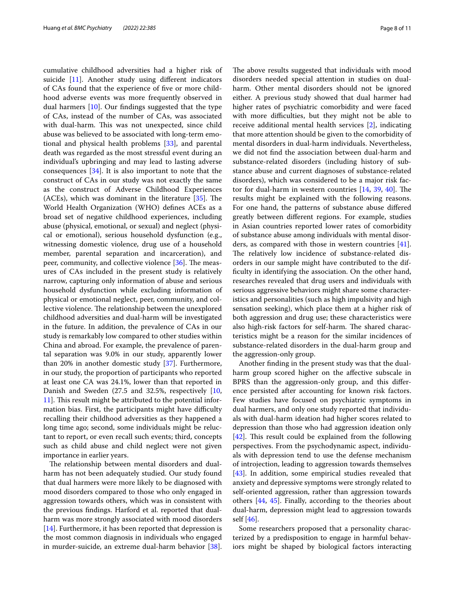cumulative childhood adversities had a higher risk of suicide [[11\]](#page-9-9). Another study using diferent indicators of CAs found that the experience of fve or more childhood adverse events was more frequently observed in dual harmers [\[10](#page-9-8)]. Our fndings suggested that the type of CAs, instead of the number of CAs, was associated with dual-harm. This was not unexpected, since child abuse was believed to be associated with long-term emotional and physical health problems [[33](#page-10-6)], and parental death was regarded as the most stressful event during an individual's upbringing and may lead to lasting adverse consequences [\[34\]](#page-10-7). It is also important to note that the construct of CAs in our study was not exactly the same as the construct of Adverse Childhood Experiences (ACEs), which was dominant in the literature  $[35]$  $[35]$ . The World Health Organization (WHO) defnes ACEs as a broad set of negative childhood experiences, including abuse (physical, emotional, or sexual) and neglect (physical or emotional), serious household dysfunction (e.g., witnessing domestic violence, drug use of a household member, parental separation and incarceration), and peer, community, and collective violence  $[36]$  $[36]$  $[36]$ . The measures of CAs included in the present study is relatively narrow, capturing only information of abuse and serious household dysfunction while excluding information of physical or emotional neglect, peer, community, and collective violence. The relationship between the unexplored childhood adversities and dual-harm will be investigated in the future. In addition, the prevalence of CAs in our study is remarkably low compared to other studies within China and abroad. For example, the prevalence of parental separation was 9.0% in our study, apparently lower than 20% in another domestic study [[37\]](#page-10-10). Furthermore, in our study, the proportion of participants who reported at least one CA was 24.1%, lower than that reported in Danish and Sweden (27.5 and 32.5%, respectively [\[10](#page-9-8), [11\]](#page-9-9). This result might be attributed to the potential information bias. First, the participants might have difficulty recalling their childhood adversities as they happened a long time ago; second, some individuals might be reluctant to report, or even recall such events; third, concepts such as child abuse and child neglect were not given importance in earlier years.

The relationship between mental disorders and dualharm has not been adequately studied. Our study found that dual harmers were more likely to be diagnosed with mood disorders compared to those who only engaged in aggression towards others, which was in consistent with the previous fndings. Harford et al. reported that dualharm was more strongly associated with mood disorders [[14\]](#page-9-13). Furthermore, it has been reported that depression is the most common diagnosis in individuals who engaged in murder-suicide, an extreme dual-harm behavior [\[38](#page-10-11)]. The above results suggested that individuals with mood disorders needed special attention in studies on dualharm. Other mental disorders should not be ignored either. A previous study showed that dual harmer had higher rates of psychiatric comorbidity and were faced with more difficulties, but they might not be able to receive additional mental health services [\[2](#page-9-10)], indicating that more attention should be given to the comorbidity of mental disorders in dual-harm individuals. Nevertheless, we did not fnd the association between dual-harm and substance-related disorders (including history of substance abuse and current diagnoses of substance-related disorders), which was considered to be a major risk factor for dual-harm in western countries  $[14, 39, 40]$  $[14, 39, 40]$  $[14, 39, 40]$  $[14, 39, 40]$  $[14, 39, 40]$  $[14, 39, 40]$  $[14, 39, 40]$ . The results might be explained with the following reasons. For one hand, the patterns of substance abuse difered greatly between diferent regions. For example, studies in Asian countries reported lower rates of comorbidity of substance abuse among individuals with mental disorders, as compared with those in western countries [\[41](#page-10-14)]. The relatively low incidence of substance-related disorders in our sample might have contributed to the diffculty in identifying the association. On the other hand, researches revealed that drug users and individuals with serious aggressive behaviors might share some characteristics and personalities (such as high impulsivity and high sensation seeking), which place them at a higher risk of both aggression and drug use; these characteristics were also high-risk factors for self-harm. The shared characteristics might be a reason for the similar incidences of substance-related disorders in the dual-harm group and the aggression-only group.

Another fnding in the present study was that the dualharm group scored higher on the afective subscale in BPRS than the aggression-only group, and this diference persisted after accounting for known risk factors. Few studies have focused on psychiatric symptoms in dual harmers, and only one study reported that individuals with dual-harm ideation had higher scores related to depression than those who had aggression ideation only  $[42]$  $[42]$ . This result could be explained from the following perspectives. From the psychodynamic aspect, individuals with depression tend to use the defense mechanism of introjection, leading to aggression towards themselves [[43\]](#page-10-16). In addition, some empirical studies revealed that anxiety and depressive symptoms were strongly related to self-oriented aggression, rather than aggression towards others [[44](#page-10-17), [45](#page-10-18)]. Finally, according to the theories about dual-harm, depression might lead to aggression towards self [[46\]](#page-10-19).

Some researchers proposed that a personality characterized by a predisposition to engage in harmful behaviors might be shaped by biological factors interacting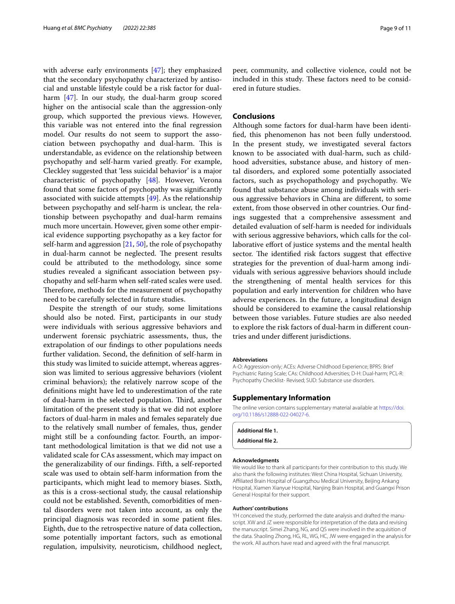with adverse early environments [\[47\]](#page-10-20); they emphasized that the secondary psychopathy characterized by antisocial and unstable lifestyle could be a risk factor for dualharm [[47\]](#page-10-20). In our study, the dual-harm group scored higher on the antisocial scale than the aggression-only group, which supported the previous views. However, this variable was not entered into the fnal regression model. Our results do not seem to support the association between psychopathy and dual-harm. This is understandable, as evidence on the relationship between psychopathy and self-harm varied greatly. For example, Cleckley suggested that 'less suicidal behavior' is a major characteristic of psychopathy [\[48](#page-10-21)]. However, Verona found that some factors of psychopathy was signifcantly associated with suicide attempts [[49\]](#page-10-22). As the relationship between psychopathy and self-harm is unclear, the relationship between psychopathy and dual-harm remains much more uncertain. However, given some other empirical evidence supporting psychopathy as a key factor for self-harm and aggression  $[21, 50]$  $[21, 50]$  $[21, 50]$  $[21, 50]$ , the role of psychopathy in dual-harm cannot be neglected. The present results could be attributed to the methodology, since some studies revealed a signifcant association between psychopathy and self-harm when self-rated scales were used. Therefore, methods for the measurement of psychopathy need to be carefully selected in future studies.

Despite the strength of our study, some limitations should also be noted. First, participants in our study were individuals with serious aggressive behaviors and underwent forensic psychiatric assessments, thus, the extrapolation of our fndings to other populations needs further validation. Second, the defnition of self-harm in this study was limited to suicide attempt, whereas aggression was limited to serious aggressive behaviors (violent criminal behaviors); the relatively narrow scope of the defnitions might have led to underestimation of the rate of dual-harm in the selected population. Third, another limitation of the present study is that we did not explore factors of dual-harm in males and females separately due to the relatively small number of females, thus, gender might still be a confounding factor. Fourth, an important methodological limitation is that we did not use a validated scale for CAs assessment, which may impact on the generalizability of our fndings. Fifth, a self-reported scale was used to obtain self-harm information from the participants, which might lead to memory biases. Sixth, as this is a cross-sectional study, the causal relationship could not be established. Seventh, comorbidities of mental disorders were not taken into account, as only the principal diagnosis was recorded in some patient fles. Eighth, due to the retrospective nature of data collection, some potentially important factors, such as emotional regulation, impulsivity, neuroticism, childhood neglect, peer, community, and collective violence, could not be included in this study. These factors need to be considered in future studies.

## **Conclusions**

Although some factors for dual-harm have been identifed, this phenomenon has not been fully understood. In the present study, we investigated several factors known to be associated with dual-harm, such as childhood adversities, substance abuse, and history of mental disorders, and explored some potentially associated factors, such as psychopathology and psychopathy. We found that substance abuse among individuals with serious aggressive behaviors in China are diferent, to some extent, from those observed in other countries. Our fndings suggested that a comprehensive assessment and detailed evaluation of self-harm is needed for individuals with serious aggressive behaviors, which calls for the collaborative efort of justice systems and the mental health sector. The identified risk factors suggest that effective strategies for the prevention of dual-harm among individuals with serious aggressive behaviors should include the strengthening of mental health services for this population and early intervention for children who have adverse experiences. In the future, a longitudinal design should be considered to examine the causal relationship between those variables. Future studies are also needed to explore the risk factors of dual-harm in diferent countries and under diferent jurisdictions.

#### **Abbreviations**

A-O: Aggression-only; ACEs: Adverse Childhood Experience; BPRS: Brief Psychiatric Rating Scale; CAs: Childhood Adversities; D-H: Dual-harm; PCL-R: Psychopathy Checklist- Revised; SUD: Substance use disorders.

### **Supplementary Information**

The online version contains supplementary material available at [https://doi.](https://doi.org/10.1186/s12888-022-04027-6) [org/10.1186/s12888-022-04027-6](https://doi.org/10.1186/s12888-022-04027-6).

**Additional fle 1.**

**Additional fle 2.**

### **Acknowledgments**

We would like to thank all participants for their contribution to this study. We also thank the following institutes: West China Hospital*,* Sichuan University, Afliated Brain Hospital of Guangzhou Medical University, Beijing Ankang Hospital, Xiamen Xianyue Hospital, Nanjing Brain Hospital, and Guangxi Prison General Hospital for their support.

#### **Authors' contributions**

YH conceived the study, performed the date analysis and drafted the manuscript. XW and JZ were responsible for interpretation of the data and revising the manuscript. Simei Zhang, NG, and QS were involved in the acquisition of the data. Shaoling Zhong, HG, RL, WG, HC, JW were engaged in the analysis for the work. All authors have read and agreed with the fnal manuscript.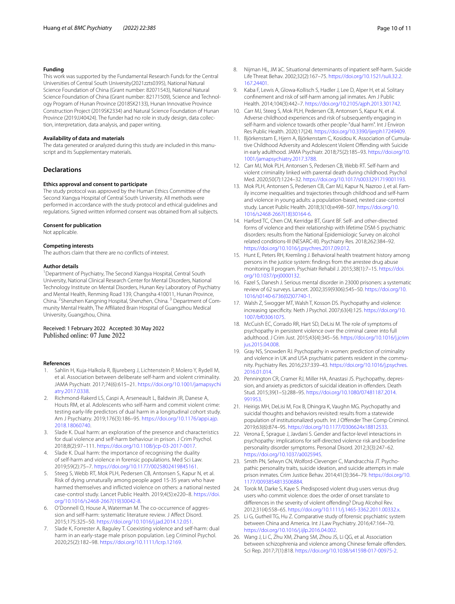### **Funding**

This work was supported by the Fundamental Research Funds for the Central Universities of Central South University(2021zzts0395), National Natural Science Foundation of China (Grant number: 82071543), National Natural Science Foundation of China (Grant number: 82171509), Science and Technology Program of Hunan Province (2018SK2133), Hunan Innovative Province Construction Project (2019SK2334) and Natural Science Foundation of Hunan Province (2019JJ40424). The funder had no role in study design, data collection, interpretation, data analysis, and paper writing.

#### **Availability of data and materials**

The data generated or analyzed during this study are included in this manuscript and its Supplementary materials.

## **Declarations**

#### **Ethics approval and consent to participate**

The study protocol was approved by the Human Ethics Committee of the Second Xiangya Hospital of Central South University. All methods were performed in accordance with the study protocol and ethical guidelines and regulations. Signed written informed consent was obtained from all subjects.

#### **Consent for publication**

Not applicable.

#### **Competing interests**

The authors claim that there are no conficts of interest.

#### **Author details**

<sup>1</sup> Department of Psychiatry, The Second Xiangya Hospital, Central South University, National Clinical Research Center for Mental Disorders, National Technology Institute on Mental Disorders, Hunan Key Laboratory of Psychiatry and Mental Health, Renming Road 139, Changsha 410011, Hunan Province, China. <sup>2</sup> Shenzhen Kangning Hospital, Shenzhen, China. <sup>3</sup> Department of Community Mental Health, The Afliated Brain Hospital of Guangzhou Medical University, Guangzhou, China.

Received: 1 February 2022 Accepted: 30 May 2022 Published online: 07 June 2022

### **References**

- <span id="page-9-0"></span>Sahlin H, Kuja-Halkola R, Bjureberg J, Lichtenstein P, Molero Y, Rydell M, et al. Association between deliberate self-harm and violent criminality. JAMA Psychiatr. 2017;74(6):615–21. [https://doi.org/10.1001/jamapsychi](https://doi.org/10.1001/jamapsychiatry.2017.0338) [atry.2017.0338](https://doi.org/10.1001/jamapsychiatry.2017.0338).
- <span id="page-9-10"></span>2. Richmond-Rakerd LS, Caspi A, Arseneault L, Baldwin JR, Danese A, Houts RM, et al. Adolescents who self-harm and commit violent crime: testing early-life predictors of dual harm in a longitudinal cohort study. Am J Psychiatry. 2019;176(3):186–95. [https://doi.org/10.1176/appi.ajp.](https://doi.org/10.1176/appi.ajp.2018.18060740) [2018.18060740](https://doi.org/10.1176/appi.ajp.2018.18060740).
- <span id="page-9-1"></span>Slade K. Dual harm: an exploration of the presence and characteristics for dual violence and self-harm behaviour in prison. J Crim Psychol. 2018;8(2):97–111. [https://doi.org/10.1108/jcp-03-2017-0017.](https://doi.org/10.1108/jcp-03-2017-0017)
- <span id="page-9-2"></span>4. Slade K. Dual harm: the importance of recognising the duality of self-harm and violence in forensic populations. Med Sci Law. 2019;59(2):75–7. [https://doi.org/10.1177/0025802419845161.](https://doi.org/10.1177/0025802419845161)
- <span id="page-9-3"></span>5. Steeg S, Webb RT, Mok PLH, Pedersen CB, Antonsen S, Kapur N, et al. Risk of dying unnaturally among people aged 15-35 years who have harmed themselves and inficted violence on others: a national nested case-control study. Lancet Public Health. 2019;4(5):e220–8. [https://doi.](https://doi.org/10.1016/s2468-2667(19)30042-8) [org/10.1016/s2468-2667\(19\)30042-8.](https://doi.org/10.1016/s2468-2667(19)30042-8)
- <span id="page-9-4"></span>6. O'Donnell O, House A, Waterman M. The co-occurrence of aggression and self-harm: systematic literature review. J Afect Disord. 2015;175:325–50. [https://doi.org/10.1016/j.jad.2014.12.051.](https://doi.org/10.1016/j.jad.2014.12.051)
- <span id="page-9-5"></span>Slade K, Forrester A, Baguley T. Coexisting violence and self-harm: dual harm in an early-stage male prison population. Leg Criminol Psychol. 2020;25(2):182–98. <https://doi.org/10.1111/lcrp.12169>.
- <span id="page-9-6"></span>8. Nijman HL, JM àC. Situational determinants of inpatient self-harm. Suicide Life Threat Behav. 2002;32(2):167–75. [https://doi.org/10.1521/suli.32.2.](https://doi.org/10.1521/suli.32.2.167.24401) [167.24401](https://doi.org/10.1521/suli.32.2.167.24401).
- <span id="page-9-7"></span>9. Kaba F, Lewis A, Glowa-Kollisch S, Hadler J, Lee D, Alper H, et al. Solitary confnement and risk of self-harm among jail inmates. Am J Public Health. 2014;104(3):442–7. [https://doi.org/10.2105/ajph.2013.301742.](https://doi.org/10.2105/ajph.2013.301742)
- <span id="page-9-8"></span>10. Carr MJ, Steeg S, Mok PLH, Pedersen CB, Antonsen S, Kapur N, et al. Adverse childhood experiences and risk of subsequently engaging in self-harm and violence towards other people-"dual harm". Int J Environ Res Public Health. 2020;17(24). <https://doi.org/10.3390/ijerph17249409>.
- <span id="page-9-9"></span>11. Björkenstam E, Hjern A, Björkenstam C, Kosidou K. Association of Cumulative Childhood Adversity and Adolescent Violent Ofending with Suicide in early adulthood. JAMA Psychiatr. 2018;75(2):185–93. [https://doi.org/10.](https://doi.org/10.1001/jamapsychiatry.2017.3788) [1001/jamapsychiatry.2017.3788.](https://doi.org/10.1001/jamapsychiatry.2017.3788)
- <span id="page-9-11"></span>12. Carr MJ, Mok PLH, Antonsen S, Pedersen CB, Webb RT. Self-harm and violent criminality linked with parental death during childhood. Psychol Med. 2020;50(7):1224–32.<https://doi.org/10.1017/s0033291719001193>.
- <span id="page-9-12"></span>13. Mok PLH, Antonsen S, Pedersen CB, Carr MJ, Kapur N, Nazroo J, et al. Family income inequalities and trajectories through childhood and self-harm and violence in young adults: a population-based, nested case-control study. Lancet Public Health. 2018;3(10):e498–507. [https://doi.org/10.](https://doi.org/10.1016/s2468-2667(18)30164-6) [1016/s2468-2667\(18\)30164-6.](https://doi.org/10.1016/s2468-2667(18)30164-6)
- <span id="page-9-13"></span>14. Harford TC, Chen CM, Kerridge BT, Grant BF. Self- and other-directed forms of violence and their relationship with lifetime DSM-5 psychiatric disorders: results from the National Epidemiologic Survey on alcohol related conditions-III (NESARC-III). Psychiatry Res. 2018;262:384–92. <https://doi.org/10.1016/j.psychres.2017.09.012>.
- <span id="page-9-14"></span>15. Hunt E, Peters RH, Kremling J. Behavioral health treatment history among persons in the justice system: fndings from the arrestee drug abuse monitoring II program. Psychiatr Rehabil J. 2015;38(1):7–15. [https://doi.](https://doi.org/10.1037/prj0000132) [org/10.1037/prj0000132](https://doi.org/10.1037/prj0000132).
- <span id="page-9-15"></span>16. Fazel S, Danesh J. Serious mental disorder in 23000 prisoners: a systematic review of 62 surveys. Lancet. 2002;359(9306):545–50. [https://doi.org/10.](https://doi.org/10.1016/s0140-6736(02)07740-1) [1016/s0140-6736\(02\)07740-1.](https://doi.org/10.1016/s0140-6736(02)07740-1)
- <span id="page-9-16"></span>17. Walsh Z, Swogger MT, Walsh T, Kosson DS. Psychopathy and violence: increasing specifcity. Neth J Psychol. 2007;63(4):125. [https://doi.org/10.](https://doi.org/10.1007/bf03061075) [1007/bf03061075](https://doi.org/10.1007/bf03061075).
- <span id="page-9-17"></span>18. McCuish EC, Corrado RR, Hart SD, DeLisi M. The role of symptoms of psychopathy in persistent violence over the criminal career into full adulthood. J Crim Just. 2015;43(4):345–56. [https://doi.org/10.1016/j.jcrim](https://doi.org/10.1016/j.jcrimjus.2015.04.008) [jus.2015.04.008.](https://doi.org/10.1016/j.jcrimjus.2015.04.008)
- <span id="page-9-18"></span>19. Gray NS, Snowden RJ. Psychopathy in women: prediction of criminality and violence in UK and USA psychiatric patients resident in the community. Psychiatry Res. 2016;237:339–43. [https://doi.org/10.1016/j.psychres.](https://doi.org/10.1016/j.psychres.2016.01.014) [2016.01.014](https://doi.org/10.1016/j.psychres.2016.01.014).
- <span id="page-9-19"></span>20. Pennington CR, Cramer RJ, Miller HA, Anastasi JS. Psychopathy, depression, and anxiety as predictors of suicidal ideation in ofenders. Death Stud. 2015;39(1–5):288–95. [https://doi.org/10.1080/07481187.2014.](https://doi.org/10.1080/07481187.2014.991953) [991953.](https://doi.org/10.1080/07481187.2014.991953)
- <span id="page-9-24"></span>21. Heirigs MH, DeLisi M, Fox B, Dhingra K, Vaughn MG. Psychopathy and suicidal thoughts and behaviors revisited: results from a statewide population of institutionalized youth. Int J Offender Ther Comp Criminol. 2019;63(6):874–95. [https://doi.org/10.1177/0306624x18812533.](https://doi.org/10.1177/0306624x18812533)
- 22. Verona E, Sprague J, Javdani S. Gender and factor-level interactions in psychopathy: implications for self-directed violence risk and borderline personality disorder symptoms. Personal Disord. 2012;3(3):247–62. [https://doi.org/10.1037/a0025945.](https://doi.org/10.1037/a0025945)
- <span id="page-9-20"></span>23. Smith PN, Selwyn CN, Wolford-Clevenger C, Mandracchia JT. Psychopathic personality traits, suicide ideation, and suicide attempts in male prison inmates. Crim Justice Behav. 2014;41(3):364–79. [https://doi.org/10.](https://doi.org/10.1177/0093854813506884) [1177/0093854813506884.](https://doi.org/10.1177/0093854813506884)
- <span id="page-9-21"></span>24. Torok M, Darke S, Kaye S. Predisposed violent drug users versus drug users who commit violence: does the order of onset translate to diferences in the severity of violent ofending? Drug Alcohol Rev. 2012;31(4):558–65. <https://doi.org/10.1111/j.1465-3362.2011.00332.x>.
- <span id="page-9-22"></span>25. Li G, Gutheil TG, Hu Z. Comparative study of forensic psychiatric system between China and America. Int J Law Psychiatry. 2016;47:164–70. <https://doi.org/10.1016/j.ijlp.2016.04.002>.
- <span id="page-9-23"></span>26. Wang J, Li C, Zhu XM, Zhang SM, Zhou JS, Li QG, et al. Association between schizophrenia and violence among Chinese female offenders. Sci Rep. 2017;7(1):818. <https://doi.org/10.1038/s41598-017-00975-2>.